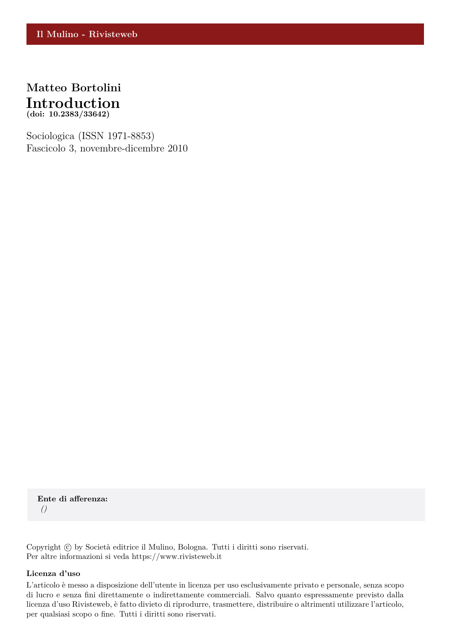

Sociologica (ISSN 1971-8853) Fascicolo 3, novembre-dicembre 2010

**Ente di afferenza:** *()*

Copyright © by Società editrice il Mulino, Bologna. Tutti i diritti sono riservati. Per altre informazioni si veda https://www.rivisteweb.it

## **Licenza d'uso**

L'articolo è messo a disposizione dell'utente in licenza per uso esclusivamente privato e personale, senza scopo di lucro e senza fini direttamente o indirettamente commerciali. Salvo quanto espressamente previsto dalla licenza d'uso Rivisteweb, è fatto divieto di riprodurre, trasmettere, distribuire o altrimenti utilizzare l'articolo, per qualsiasi scopo o fine. Tutti i diritti sono riservati.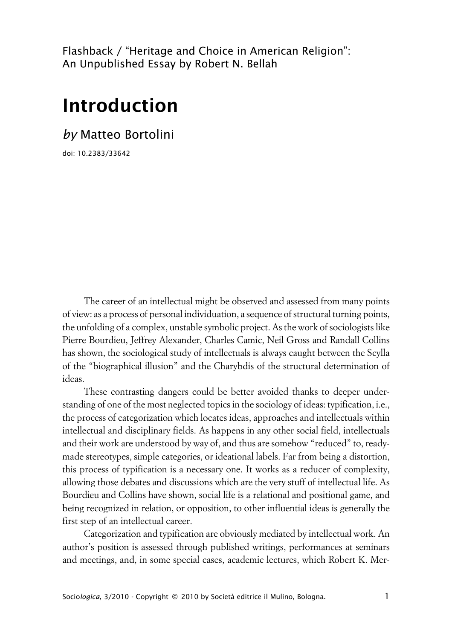Flashback / "Heritage and Choice in American Religion": An Unpublished Essay by Robert N. Bellah

## **Introduction**

*by* Matteo Bortolini

doi: 10.2383/33642

The career of an intellectual might be observed and assessed from many points of view: as a process of personal individuation, a sequence of structural turning points, the unfolding of a complex, unstable symbolic project. As the work of sociologists like Pierre Bourdieu, Jeffrey Alexander, Charles Camic, Neil Gross and Randall Collins has shown, the sociological study of intellectuals is always caught between the Scylla of the "biographical illusion" and the Charybdis of the structural determination of ideas.

These contrasting dangers could be better avoided thanks to deeper understanding of one of the most neglected topics in the sociology of ideas: typification, i.e., the process of categorization which locates ideas, approaches and intellectuals within intellectual and disciplinary fields. As happens in any other social field, intellectuals and their work are understood by way of, and thus are somehow "reduced" to, readymade stereotypes, simple categories, or ideational labels. Far from being a distortion, this process of typification is a necessary one. It works as a reducer of complexity, allowing those debates and discussions which are the very stuff of intellectual life. As Bourdieu and Collins have shown, social life is a relational and positional game, and being recognized in relation, or opposition, to other influential ideas is generally the first step of an intellectual career.

Categorization and typification are obviously mediated by intellectual work. An author's position is assessed through published writings, performances at seminars and meetings, and, in some special cases, academic lectures, which Robert K. Mer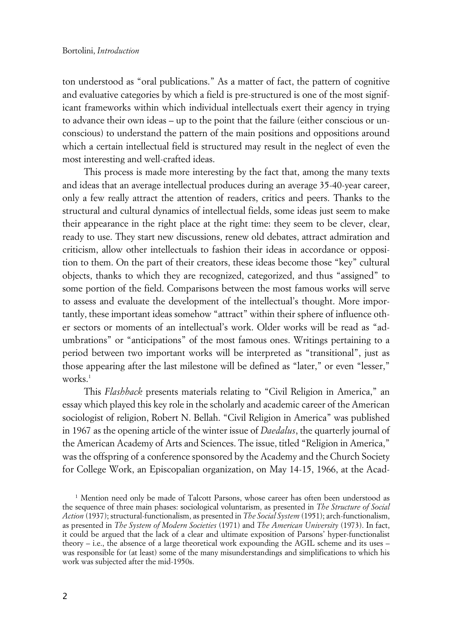ton understood as "oral publications." As a matter of fact, the pattern of cognitive and evaluative categories by which a field is pre-structured is one of the most significant frameworks within which individual intellectuals exert their agency in trying to advance their own ideas – up to the point that the failure (either conscious or unconscious) to understand the pattern of the main positions and oppositions around which a certain intellectual field is structured may result in the neglect of even the most interesting and well-crafted ideas.

This process is made more interesting by the fact that, among the many texts and ideas that an average intellectual produces during an average 35-40-year career, only a few really attract the attention of readers, critics and peers. Thanks to the structural and cultural dynamics of intellectual fields, some ideas just seem to make their appearance in the right place at the right time: they seem to be clever, clear, ready to use. They start new discussions, renew old debates, attract admiration and criticism, allow other intellectuals to fashion their ideas in accordance or opposition to them. On the part of their creators, these ideas become those "key" cultural objects, thanks to which they are recognized, categorized, and thus "assigned" to some portion of the field. Comparisons between the most famous works will serve to assess and evaluate the development of the intellectual's thought. More importantly, these important ideas somehow "attract" within their sphere of influence other sectors or moments of an intellectual's work. Older works will be read as "adumbrations" or "anticipations" of the most famous ones. Writings pertaining to a period between two important works will be interpreted as "transitional", just as those appearing after the last milestone will be defined as "later," or even "lesser," works. $<sup>1</sup>$ </sup>

This *Flashback* presents materials relating to "Civil Religion in America," an essay which played this key role in the scholarly and academic career of the American sociologist of religion, Robert N. Bellah. "Civil Religion in America" was published in 1967 as the opening article of the winter issue of *Daedalus*, the quarterly journal of the American Academy of Arts and Sciences. The issue, titled "Religion in America," was the offspring of a conference sponsored by the Academy and the Church Society for College Work, an Episcopalian organization, on May 14-15, 1966, at the Acad-

<sup>&</sup>lt;sup>1</sup> Mention need only be made of Talcott Parsons, whose career has often been understood as the sequence of three main phases: sociological voluntarism, as presented in *The Structure of Social Action* (1937); structural-functionalism, as presented in *The Social System* (1951); arch-functionalism, as presented in *The System of Modern Societies* (1971) and *The American University* (1973). In fact, it could be argued that the lack of a clear and ultimate exposition of Parsons' hyper-functionalist theory – i.e., the absence of a large theoretical work expounding the AGIL scheme and its uses – was responsible for (at least) some of the many misunderstandings and simplifications to which his work was subjected after the mid-1950s.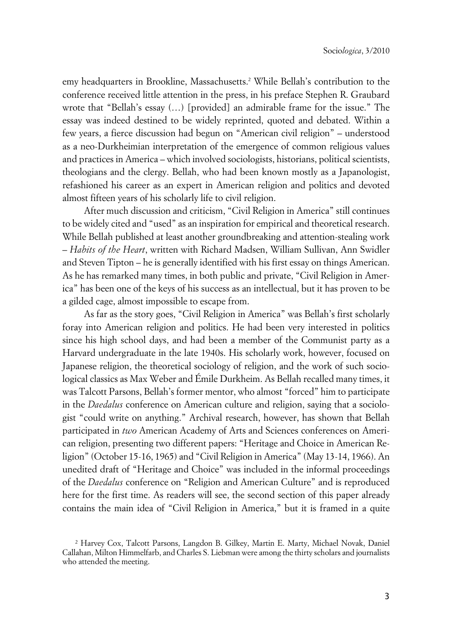emy headquarters in Brookline, Massachusetts.<sup>2</sup> While Bellah's contribution to the conference received little attention in the press, in his preface Stephen R. Graubard wrote that "Bellah's essay (…) [provided] an admirable frame for the issue." The essay was indeed destined to be widely reprinted, quoted and debated. Within a few years, a fierce discussion had begun on "American civil religion" – understood as a neo-Durkheimian interpretation of the emergence of common religious values and practices in America – which involved sociologists, historians, political scientists, theologians and the clergy. Bellah, who had been known mostly as a Japanologist, refashioned his career as an expert in American religion and politics and devoted almost fifteen years of his scholarly life to civil religion.

After much discussion and criticism, "Civil Religion in America" still continues to be widely cited and "used" as an inspiration for empirical and theoretical research. While Bellah published at least another groundbreaking and attention-stealing work – *Habits of the Heart*, written with Richard Madsen, William Sullivan, Ann Swidler and Steven Tipton – he is generally identified with his first essay on things American. As he has remarked many times, in both public and private, "Civil Religion in America" has been one of the keys of his success as an intellectual, but it has proven to be a gilded cage, almost impossible to escape from.

As far as the story goes, "Civil Religion in America" was Bellah's first scholarly foray into American religion and politics. He had been very interested in politics since his high school days, and had been a member of the Communist party as a Harvard undergraduate in the late 1940s. His scholarly work, however, focused on Japanese religion, the theoretical sociology of religion, and the work of such sociological classics as Max Weber and Émile Durkheim. As Bellah recalled many times, it was Talcott Parsons, Bellah's former mentor, who almost "forced" him to participate in the *Daedalus* conference on American culture and religion, saying that a sociologist "could write on anything." Archival research, however, has shown that Bellah participated in *two* American Academy of Arts and Sciences conferences on American religion, presenting two different papers: "Heritage and Choice in American Religion" (October 15-16, 1965) and "Civil Religion in America" (May 13-14, 1966). An unedited draft of "Heritage and Choice" was included in the informal proceedings of the *Daedalus* conference on "Religion and American Culture" and is reproduced here for the first time. As readers will see, the second section of this paper already contains the main idea of "Civil Religion in America," but it is framed in a quite

<sup>2</sup> Harvey Cox, Talcott Parsons, Langdon B. Gilkey, Martin E. Marty, Michael Novak, Daniel Callahan, Milton Himmelfarb, and Charles S. Liebman were among the thirty scholars and journalists who attended the meeting.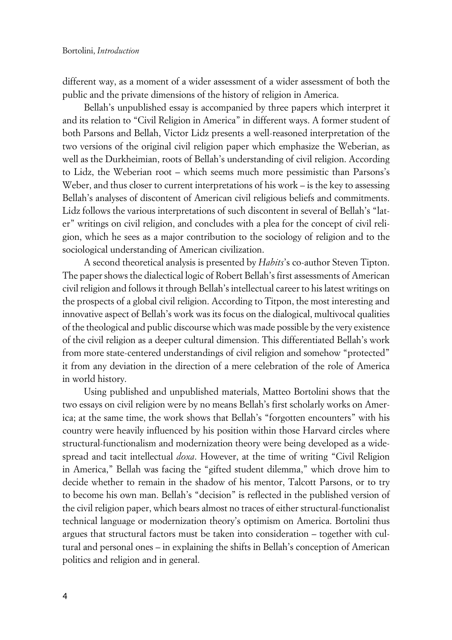different way, as a moment of a wider assessment of a wider assessment of both the public and the private dimensions of the history of religion in America.

Bellah's unpublished essay is accompanied by three papers which interpret it and its relation to "Civil Religion in America" in different ways. A former student of both Parsons and Bellah, Victor Lidz presents a well-reasoned interpretation of the two versions of the original civil religion paper which emphasize the Weberian, as well as the Durkheimian, roots of Bellah's understanding of civil religion. According to Lidz, the Weberian root – which seems much more pessimistic than Parsons's Weber, and thus closer to current interpretations of his work – is the key to assessing Bellah's analyses of discontent of American civil religious beliefs and commitments. Lidz follows the various interpretations of such discontent in several of Bellah's "later" writings on civil religion, and concludes with a plea for the concept of civil religion, which he sees as a major contribution to the sociology of religion and to the sociological understanding of American civilization.

A second theoretical analysis is presented by *Habits*'s co-author Steven Tipton. The paper shows the dialectical logic of Robert Bellah's first assessments of American civil religion and follows it through Bellah's intellectual career to his latest writings on the prospects of a global civil religion. According to Titpon, the most interesting and innovative aspect of Bellah's work was its focus on the dialogical, multivocal qualities of the theological and public discourse which was made possible by the very existence of the civil religion as a deeper cultural dimension. This differentiated Bellah's work from more state-centered understandings of civil religion and somehow "protected" it from any deviation in the direction of a mere celebration of the role of America in world history.

Using published and unpublished materials, Matteo Bortolini shows that the two essays on civil religion were by no means Bellah's first scholarly works on America; at the same time, the work shows that Bellah's "forgotten encounters" with his country were heavily influenced by his position within those Harvard circles where structural-functionalism and modernization theory were being developed as a widespread and tacit intellectual *doxa*. However, at the time of writing "Civil Religion in America," Bellah was facing the "gifted student dilemma," which drove him to decide whether to remain in the shadow of his mentor, Talcott Parsons, or to try to become his own man. Bellah's "decision" is reflected in the published version of the civil religion paper, which bears almost no traces of either structural-functionalist technical language or modernization theory's optimism on America. Bortolini thus argues that structural factors must be taken into consideration – together with cultural and personal ones – in explaining the shifts in Bellah's conception of American politics and religion and in general.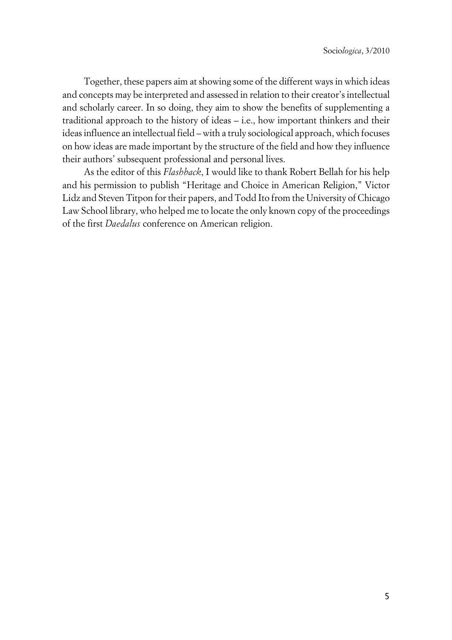Together, these papers aim at showing some of the different ways in which ideas and concepts may be interpreted and assessed in relation to their creator's intellectual and scholarly career. In so doing, they aim to show the benefits of supplementing a traditional approach to the history of ideas – i.e., how important thinkers and their ideas influence an intellectual field – with a truly sociological approach, which focuses on how ideas are made important by the structure of the field and how they influence their authors' subsequent professional and personal lives.

As the editor of this *Flashback*, I would like to thank Robert Bellah for his help and his permission to publish "Heritage and Choice in American Religion," Victor Lidz and Steven Titpon for their papers, and Todd Ito from the University of Chicago Law School library, who helped me to locate the only known copy of the proceedings of the first *Daedalus* conference on American religion.